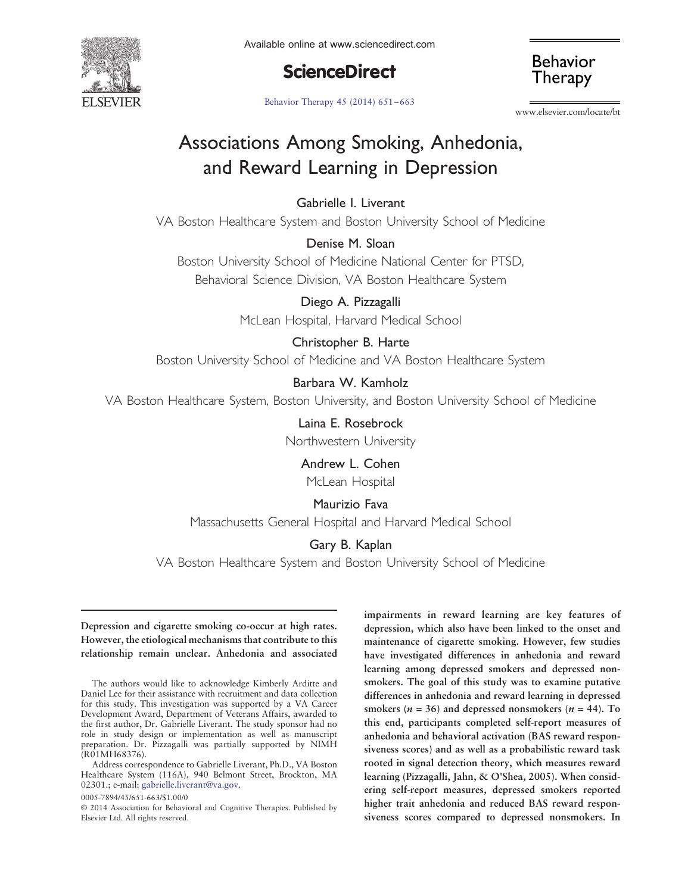

Available online at www.sciencedirect.com

**ScienceDirect** 



[Behavior Therapy 45 \(2014\) 651](http://dx.doi.org/)–663

www.elsevier.com/locate/bt

# Associations Among Smoking, Anhedonia, and Reward Learning in Depression

Gabrielle I. Liverant

VA Boston Healthcare System and Boston University School of Medicine

Denise M. Sloan

Boston University School of Medicine National Center for PTSD, Behavioral Science Division, VA Boston Healthcare System

> Diego A. Pizzagalli McLean Hospital, Harvard Medical School

> > Christopher B. Harte

Boston University School of Medicine and VA Boston Healthcare System

### Barbara W. Kamholz

VA Boston Healthcare System, Boston University, and Boston University School of Medicine

Laina E. Rosebrock Northwestern University

## Andrew L. Cohen

McLean Hospital

### Maurizio Fava

Massachusetts General Hospital and Harvard Medical School

#### Gary B. Kaplan

VA Boston Healthcare System and Boston University School of Medicine

Depression and cigarette smoking co-occur at high rates. However, the etiological mechanisms that contribute to this relationship remain unclear. Anhedonia and associated

0005-7894/45/651-663/\$1.00/0

impairments in reward learning are key features of depression, which also have been linked to the onset and maintenance of cigarette smoking. However, few studies have investigated differences in anhedonia and reward learning among depressed smokers and depressed nonsmokers. The goal of this study was to examine putative differences in anhedonia and reward learning in depressed smokers ( $n = 36$ ) and depressed nonsmokers ( $n = 44$ ). To this end, participants completed self-report measures of anhedonia and behavioral activation (BAS reward responsiveness scores) and as well as a probabilistic reward task rooted in signal detection theory, which measures reward learning (Pizzagalli, Jahn, & O'Shea, 2005). When considering self-report measures, depressed smokers reported higher trait anhedonia and reduced BAS reward responsiveness scores compared to depressed nonsmokers. In

The authors would like to acknowledge Kimberly Arditte and Daniel Lee for their assistance with recruitment and data collection for this study. This investigation was supported by a VA Career Development Award, Department of Veterans Affairs, awarded to the first author, Dr. Gabrielle Liverant. The study sponsor had no role in study design or implementation as well as manuscript preparation. Dr. Pizzagalli was partially supported by NIMH (R01MH68376).

Address correspondence to Gabrielle Liverant, Ph.D., VA Boston Healthcare System (116A), 940 Belmont Street, Brockton, MA 02301.; e-mail: [gabrielle.liverant@va.gov](mailto:gabrielle.liverant@va.gov).

<sup>© 2014</sup> Association for Behavioral and Cognitive Therapies. Published by Elsevier Ltd. All rights reserved.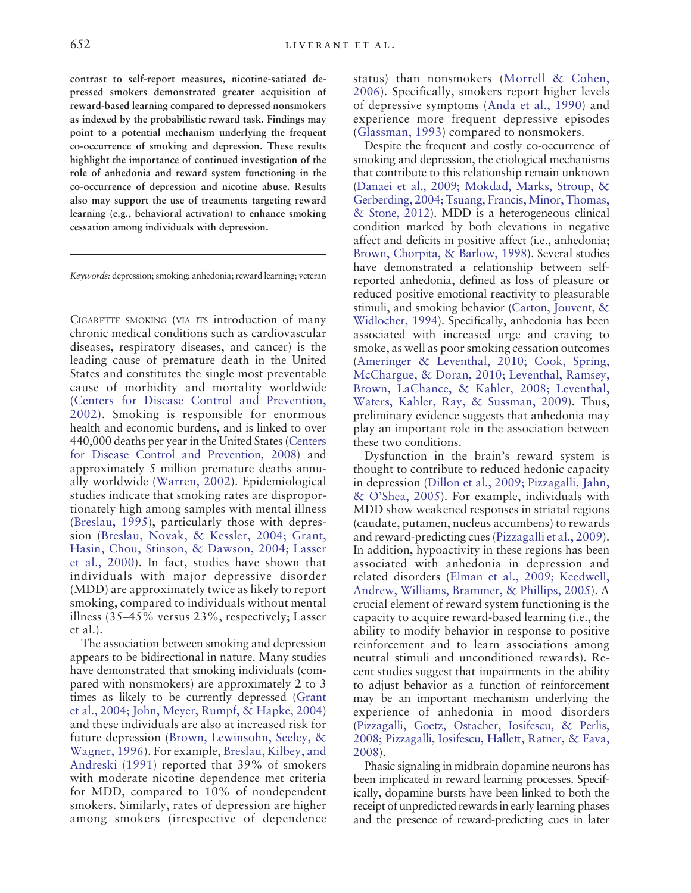contrast to self-report measures, nicotine-satiated depressed smokers demonstrated greater acquisition of reward-based learning compared to depressed nonsmokers as indexed by the probabilistic reward task. Findings may point to a potential mechanism underlying the frequent co-occurrence of smoking and depression. These results highlight the importance of continued investigation of the role of anhedonia and reward system functioning in the co-occurrence of depression and nicotine abuse. Results also may support the use of treatments targeting reward learning (e.g., behavioral activation) to enhance smoking cessation among individuals with depression.

Keywords: depression; smoking; anhedonia; reward learning; veteran

CIGARETTE SMOKING (VIA ITS introduction of many chronic medical conditions such as cardiovascular diseases, respiratory diseases, and cancer) is the leading cause of premature death in the United States and constitutes the single most preventable cause of morbidity and mortality worldwide ([Centers for Disease Control and Prevention,](#page--1-0) [2002](#page--1-0)). Smoking is responsible for enormous health and economic burdens, and is linked to over 440,000 deaths per year in the United States ([Centers](#page--1-0) [for Disease Control and Prevention, 2008\)](#page--1-0) and approximately 5 million premature deaths annually worldwide ([Warren, 2002](#page--1-0)). Epidemiological studies indicate that smoking rates are disproportionately high among samples with mental illness ([Breslau, 1995](#page--1-0)), particularly those with depression ([Breslau, Novak, & Kessler, 2004; Grant,](#page--1-0) [Hasin, Chou, Stinson, & Dawson, 2004; Lasser](#page--1-0) [et al., 2000](#page--1-0)). In fact, studies have shown that individuals with major depressive disorder (MDD) are approximately twice as likely to report smoking, compared to individuals without mental illness (35–45% versus 23%, respectively; Lasser et al.).

The association between smoking and depression appears to be bidirectional in nature. Many studies have demonstrated that smoking individuals (compared with nonsmokers) are approximately 2 to 3 times as likely to be currently depressed ([Grant](#page--1-0) [et al., 2004; John, Meyer, Rumpf, & Hapke, 2004\)](#page--1-0) and these individuals are also at increased risk for future depression ([Brown, Lewinsohn, Seeley, &](#page--1-0) [Wagner, 1996](#page--1-0)). For example, [Breslau, Kilbey, and](#page--1-0) [Andreski \(1991\)](#page--1-0) reported that 39% of smokers with moderate nicotine dependence met criteria for MDD, compared to 10% of nondependent smokers. Similarly, rates of depression are higher among smokers (irrespective of dependence status) than nonsmokers ([Morrell & Cohen,](#page--1-0) [2006\)](#page--1-0). Specifically, smokers report higher levels of depressive symptoms ([Anda et al., 1990\)](#page--1-0) and experience more frequent depressive episodes ([Glassman, 1993\)](#page--1-0) compared to nonsmokers.

Despite the frequent and costly co-occurrence of smoking and depression, the etiological mechanisms that contribute to this relationship remain unknown [\(Danaei et al., 2009; Mokdad, Marks, Stroup, &](#page--1-0) [Gerberding, 2004; Tsuang, Francis, Minor, Thomas,](#page--1-0) [& Stone, 2012](#page--1-0)). MDD is a heterogeneous clinical condition marked by both elevations in negative affect and deficits in positive affect (i.e., anhedonia; [Brown, Chorpita, & Barlow, 1998](#page--1-0)). Several studies have demonstrated a relationship between selfreported anhedonia, defined as loss of pleasure or reduced positive emotional reactivity to pleasurable stimuli, and smoking behavior ([Carton, Jouvent, &](#page--1-0) [Widlocher, 1994\)](#page--1-0). Specifically, anhedonia has been associated with increased urge and craving to smoke, as well as poor smoking cessation outcomes ([Ameringer & Leventhal, 2010; Cook, Spring,](#page--1-0) [McChargue, & Doran, 2010; Leventhal, Ramsey,](#page--1-0) [Brown, LaChance, & Kahler, 2008; Leventhal,](#page--1-0) [Waters, Kahler, Ray, & Sussman, 2009](#page--1-0)). Thus, preliminary evidence suggests that anhedonia may play an important role in the association between these two conditions.

Dysfunction in the brain's reward system is thought to contribute to reduced hedonic capacity in depression ([Dillon et al., 2009; Pizzagalli, Jahn,](#page--1-0) & O'[Shea, 2005](#page--1-0)). For example, individuals with MDD show weakened responses in striatal regions (caudate, putamen, nucleus accumbens) to rewards and reward-predicting cues ([Pizzagalli et al., 2009\)](#page--1-0). In addition, hypoactivity in these regions has been associated with anhedonia in depression and related disorders ([Elman et al., 2009; Keedwell,](#page--1-0) [Andrew, Williams, Brammer, & Phillips, 2005\)](#page--1-0). A crucial element of reward system functioning is the capacity to acquire reward-based learning (i.e., the ability to modify behavior in response to positive reinforcement and to learn associations among neutral stimuli and unconditioned rewards). Recent studies suggest that impairments in the ability to adjust behavior as a function of reinforcement may be an important mechanism underlying the experience of anhedonia in mood disorders [\(Pizzagalli, Goetz, Ostacher, Iosifescu, & Perlis,](#page--1-0) [2008; Pizzagalli, Iosifescu, Hallett, Ratner, & Fava,](#page--1-0) [2008\)](#page--1-0).

Phasic signaling in midbrain dopamine neurons has been implicated in reward learning processes. Specifically, dopamine bursts have been linked to both the receipt of unpredicted rewards in early learning phases and the presence of reward-predicting cues in later